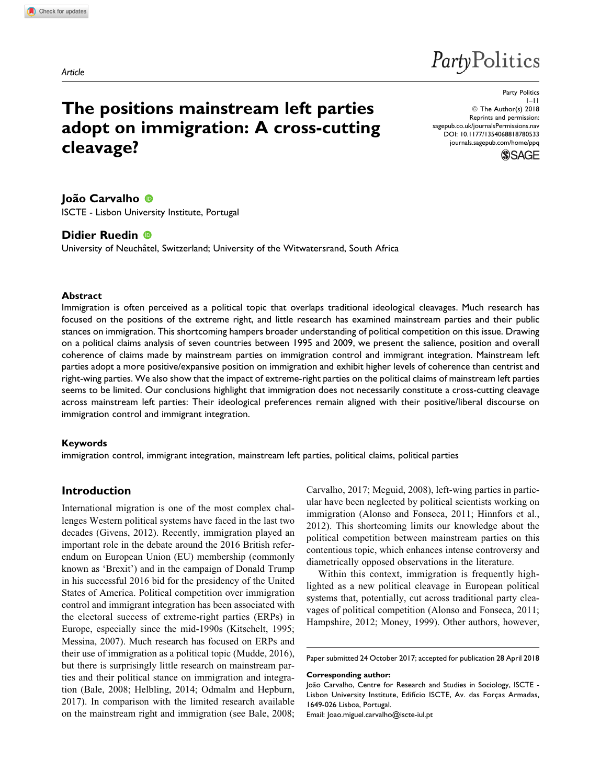Article

# PartyPolitics

## The positions mainstream left parties adopt on immigration: A cross-cutting cleavage?

Party Politics 1–11 © The Author(s) 2018 Reprints and permission: [sagepub.co.uk/journalsPermissions.nav](https://uk.sagepub.com/en-gb/journals-permissions) [DOI: 10.1177/1354068818780533](https://doi.org/10.1177/1354068818780533) [journals.sagepub.com/home/ppq](http://journals.sagepub.com/home/ppq)



## João Carvalho <sup>®</sup>

ISCTE - Lisbon University Institute, Portugal

## Didier Ruedin ®

University of Neuchâtel, Switzerland; University of the Witwatersrand, South Africa

## Abstract

Immigration is often perceived as a political topic that overlaps traditional ideological cleavages. Much research has focused on the positions of the extreme right, and little research has examined mainstream parties and their public stances on immigration. This shortcoming hampers broader understanding of political competition on this issue. Drawing on a political claims analysis of seven countries between 1995 and 2009, we present the salience, position and overall coherence of claims made by mainstream parties on immigration control and immigrant integration. Mainstream left parties adopt a more positive/expansive position on immigration and exhibit higher levels of coherence than centrist and right-wing parties. We also show that the impact of extreme-right parties on the political claims of mainstream left parties seems to be limited. Our conclusions highlight that immigration does not necessarily constitute a cross-cutting cleavage across mainstream left parties: Their ideological preferences remain aligned with their positive/liberal discourse on immigration control and immigrant integration.

## Keywords

immigration control, immigrant integration, mainstream left parties, political claims, political parties

## Introduction

International migration is one of the most complex challenges Western political systems have faced in the last two decades (Givens, 2012). Recently, immigration played an important role in the debate around the 2016 British referendum on European Union (EU) membership (commonly known as 'Brexit') and in the campaign of Donald Trump in his successful 2016 bid for the presidency of the United States of America. Political competition over immigration control and immigrant integration has been associated with the electoral success of extreme-right parties (ERPs) in Europe, especially since the mid-1990s (Kitschelt, 1995; Messina, 2007). Much research has focused on ERPs and their use of immigration as a political topic (Mudde, 2016), but there is surprisingly little research on mainstream parties and their political stance on immigration and integration (Bale, 2008; Helbling, 2014; Odmalm and Hepburn, 2017). In comparison with the limited research available on the mainstream right and immigration (see Bale, 2008; Carvalho, 2017; Meguid, 2008), left-wing parties in particular have been neglected by political scientists working on immigration (Alonso and Fonseca, 2011; Hinnfors et al., 2012). This shortcoming limits our knowledge about the political competition between mainstream parties on this contentious topic, which enhances intense controversy and diametrically opposed observations in the literature.

Within this context, immigration is frequently highlighted as a new political cleavage in European political systems that, potentially, cut across traditional party cleavages of political competition (Alonso and Fonseca, 2011; Hampshire, 2012; Money, 1999). Other authors, however,

Paper submitted 24 October 2017; accepted for publication 28 April 2018

#### Corresponding author:

João Carvalho, Centre for Research and Studies in Sociology, ISCTE -Lisbon University Institute, Edifício ISCTE, Av. das Forças Armadas, 1649-026 Lisboa, Portugal. Email: [Joao.miguel.carvalho@iscte-iul.pt](mailto:Joao.miguel.carvalho@iscte-iul.pt)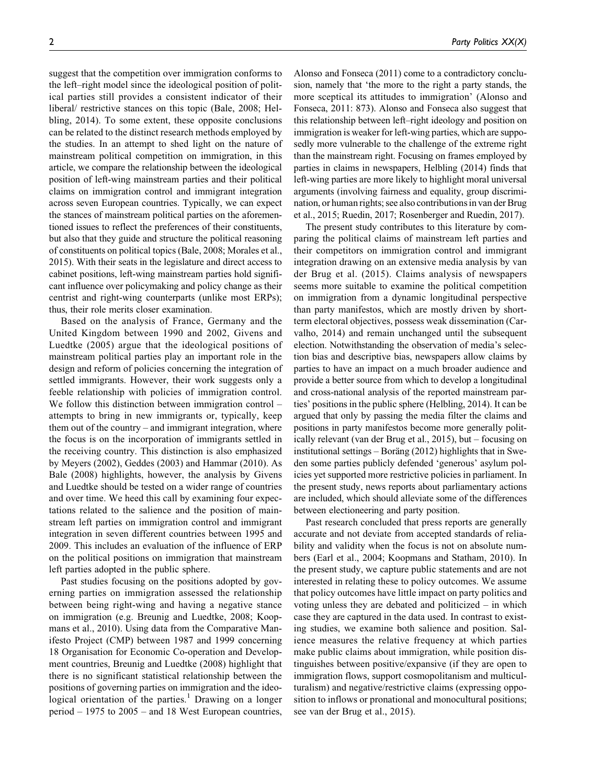suggest that the competition over immigration conforms to the left–right model since the ideological position of political parties still provides a consistent indicator of their liberal/ restrictive stances on this topic (Bale, 2008; Helbling, 2014). To some extent, these opposite conclusions can be related to the distinct research methods employed by the studies. In an attempt to shed light on the nature of mainstream political competition on immigration, in this article, we compare the relationship between the ideological position of left-wing mainstream parties and their political claims on immigration control and immigrant integration across seven European countries. Typically, we can expect the stances of mainstream political parties on the aforementioned issues to reflect the preferences of their constituents, but also that they guide and structure the political reasoning of constituents on political topics (Bale, 2008; Morales et al., 2015). With their seats in the legislature and direct access to cabinet positions, left-wing mainstream parties hold significant influence over policymaking and policy change as their centrist and right-wing counterparts (unlike most ERPs); thus, their role merits closer examination.

Based on the analysis of France, Germany and the United Kingdom between 1990 and 2002, Givens and Luedtke (2005) argue that the ideological positions of mainstream political parties play an important role in the design and reform of policies concerning the integration of settled immigrants. However, their work suggests only a feeble relationship with policies of immigration control. We follow this distinction between immigration control – attempts to bring in new immigrants or, typically, keep them out of the country – and immigrant integration, where the focus is on the incorporation of immigrants settled in the receiving country. This distinction is also emphasized by Meyers (2002), Geddes (2003) and Hammar (2010). As Bale (2008) highlights, however, the analysis by Givens and Luedtke should be tested on a wider range of countries and over time. We heed this call by examining four expectations related to the salience and the position of mainstream left parties on immigration control and immigrant integration in seven different countries between 1995 and 2009. This includes an evaluation of the influence of ERP on the political positions on immigration that mainstream left parties adopted in the public sphere.

Past studies focusing on the positions adopted by governing parties on immigration assessed the relationship between being right-wing and having a negative stance on immigration (e.g. Breunig and Luedtke, 2008; Koopmans et al., 2010). Using data from the Comparative Manifesto Project (CMP) between 1987 and 1999 concerning 18 Organisation for Economic Co-operation and Development countries, Breunig and Luedtke (2008) highlight that there is no significant statistical relationship between the positions of governing parties on immigration and the ideological orientation of the parties.<sup>1</sup> Drawing on a longer period – 1975 to 2005 – and 18 West European countries, Alonso and Fonseca (2011) come to a contradictory conclusion, namely that 'the more to the right a party stands, the more sceptical its attitudes to immigration' (Alonso and Fonseca, 2011: 873). Alonso and Fonseca also suggest that this relationship between left–right ideology and position on immigration is weaker for left-wing parties, which are supposedly more vulnerable to the challenge of the extreme right than the mainstream right. Focusing on frames employed by parties in claims in newspapers, Helbling (2014) finds that left-wing parties are more likely to highlight moral universal arguments (involving fairness and equality, group discrimination, or human rights; see also contributionsin van der Brug et al., 2015; Ruedin, 2017; Rosenberger and Ruedin, 2017).

The present study contributes to this literature by comparing the political claims of mainstream left parties and their competitors on immigration control and immigrant integration drawing on an extensive media analysis by van der Brug et al. (2015). Claims analysis of newspapers seems more suitable to examine the political competition on immigration from a dynamic longitudinal perspective than party manifestos, which are mostly driven by shortterm electoral objectives, possess weak dissemination (Carvalho, 2014) and remain unchanged until the subsequent election. Notwithstanding the observation of media's selection bias and descriptive bias, newspapers allow claims by parties to have an impact on a much broader audience and provide a better source from which to develop a longitudinal and cross-national analysis of the reported mainstream parties' positions in the public sphere (Helbling, 2014). It can be argued that only by passing the media filter the claims and positions in party manifestos become more generally politically relevant (van der Brug et al., 2015), but – focusing on institutional settings – Boräng  $(2012)$  highlights that in Sweden some parties publicly defended 'generous' asylum policies yet supported more restrictive policies in parliament. In the present study, news reports about parliamentary actions are included, which should alleviate some of the differences between electioneering and party position.

Past research concluded that press reports are generally accurate and not deviate from accepted standards of reliability and validity when the focus is not on absolute numbers (Earl et al., 2004; Koopmans and Statham, 2010). In the present study, we capture public statements and are not interested in relating these to policy outcomes. We assume that policy outcomes have little impact on party politics and voting unless they are debated and politicized – in which case they are captured in the data used. In contrast to existing studies, we examine both salience and position. Salience measures the relative frequency at which parties make public claims about immigration, while position distinguishes between positive/expansive (if they are open to immigration flows, support cosmopolitanism and multiculturalism) and negative/restrictive claims (expressing opposition to inflows or pronational and monocultural positions; see van der Brug et al., 2015).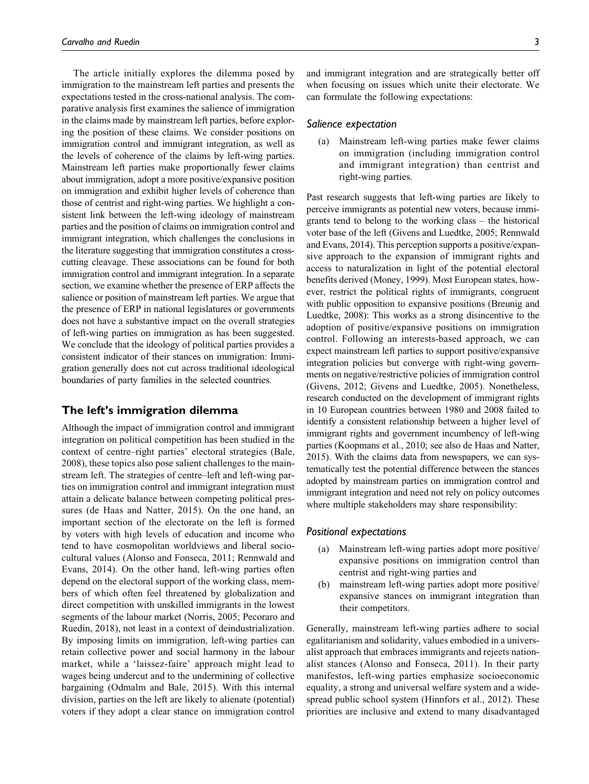The article initially explores the dilemma posed by immigration to the mainstream left parties and presents the expectations tested in the cross-national analysis. The comparative analysis first examines the salience of immigration in the claims made by mainstream left parties, before exploring the position of these claims. We consider positions on immigration control and immigrant integration, as well as the levels of coherence of the claims by left-wing parties. Mainstream left parties make proportionally fewer claims about immigration, adopt a more positive/expansive position on immigration and exhibit higher levels of coherence than those of centrist and right-wing parties. We highlight a consistent link between the left-wing ideology of mainstream parties and the position of claims on immigration control and immigrant integration, which challenges the conclusions in the literature suggesting that immigration constitutes a crosscutting cleavage. These associations can be found for both immigration control and immigrant integration. In a separate section, we examine whether the presence of ERP affects the salience or position of mainstream left parties. We argue that the presence of ERP in national legislatures or governments does not have a substantive impact on the overall strategies of left-wing parties on immigration as has been suggested. We conclude that the ideology of political parties provides a consistent indicator of their stances on immigration: Immigration generally does not cut across traditional ideological boundaries of party families in the selected countries.

## The left's immigration dilemma

Although the impact of immigration control and immigrant integration on political competition has been studied in the context of centre–right parties' electoral strategies (Bale, 2008), these topics also pose salient challenges to the mainstream left. The strategies of centre–left and left-wing parties on immigration control and immigrant integration must attain a delicate balance between competing political pressures (de Haas and Natter, 2015). On the one hand, an important section of the electorate on the left is formed by voters with high levels of education and income who tend to have cosmopolitan worldviews and liberal sociocultural values (Alonso and Fonseca, 2011; Rennwald and Evans, 2014). On the other hand, left-wing parties often depend on the electoral support of the working class, members of which often feel threatened by globalization and direct competition with unskilled immigrants in the lowest segments of the labour market (Norris, 2005; Pecoraro and Ruedin, 2018), not least in a context of deindustrialization. By imposing limits on immigration, left-wing parties can retain collective power and social harmony in the labour market, while a 'laissez-faire' approach might lead to wages being undercut and to the undermining of collective bargaining (Odmalm and Bale, 2015). With this internal division, parties on the left are likely to alienate (potential) voters if they adopt a clear stance on immigration control

and immigrant integration and are strategically better off when focusing on issues which unite their electorate. We can formulate the following expectations:

### Salience expectation

(a) Mainstream left-wing parties make fewer claims on immigration (including immigration control and immigrant integration) than centrist and right-wing parties.

Past research suggests that left-wing parties are likely to perceive immigrants as potential new voters, because immigrants tend to belong to the working class – the historical voter base of the left (Givens and Luedtke, 2005; Rennwald and Evans, 2014). This perception supports a positive/expansive approach to the expansion of immigrant rights and access to naturalization in light of the potential electoral benefits derived (Money, 1999). Most European states, however, restrict the political rights of immigrants, congruent with public opposition to expansive positions (Breunig and Luedtke, 2008): This works as a strong disincentive to the adoption of positive/expansive positions on immigration control. Following an interests-based approach, we can expect mainstream left parties to support positive/expansive integration policies but converge with right-wing governments on negative/restrictive policies of immigration control (Givens, 2012; Givens and Luedtke, 2005). Nonetheless, research conducted on the development of immigrant rights in 10 European countries between 1980 and 2008 failed to identify a consistent relationship between a higher level of immigrant rights and government incumbency of left-wing parties (Koopmans et al., 2010; see also de Haas and Natter, 2015). With the claims data from newspapers, we can systematically test the potential difference between the stances adopted by mainstream parties on immigration control and immigrant integration and need not rely on policy outcomes where multiple stakeholders may share responsibility:

### Positional expectations

- (a) Mainstream left-wing parties adopt more positive/ expansive positions on immigration control than centrist and right-wing parties and
- (b) mainstream left-wing parties adopt more positive/ expansive stances on immigrant integration than their competitors.

Generally, mainstream left-wing parties adhere to social egalitarianism and solidarity, values embodied in a universalist approach that embraces immigrants and rejects nationalist stances (Alonso and Fonseca, 2011). In their party manifestos, left-wing parties emphasize socioeconomic equality, a strong and universal welfare system and a widespread public school system (Hinnfors et al., 2012). These priorities are inclusive and extend to many disadvantaged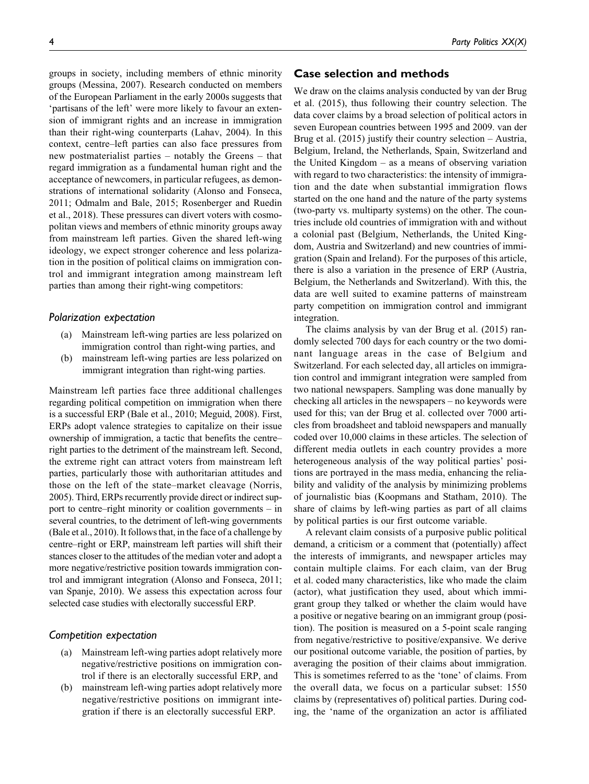groups in society, including members of ethnic minority groups (Messina, 2007). Research conducted on members of the European Parliament in the early 2000s suggests that 'partisans of the left' were more likely to favour an extension of immigrant rights and an increase in immigration than their right-wing counterparts (Lahav, 2004). In this context, centre–left parties can also face pressures from new postmaterialist parties – notably the Greens – that regard immigration as a fundamental human right and the acceptance of newcomers, in particular refugees, as demonstrations of international solidarity (Alonso and Fonseca, 2011; Odmalm and Bale, 2015; Rosenberger and Ruedin et al., 2018). These pressures can divert voters with cosmopolitan views and members of ethnic minority groups away from mainstream left parties. Given the shared left-wing ideology, we expect stronger coherence and less polarization in the position of political claims on immigration control and immigrant integration among mainstream left parties than among their right-wing competitors:

## Polarization expectation

- (a) Mainstream left-wing parties are less polarized on immigration control than right-wing parties, and
- (b) mainstream left-wing parties are less polarized on immigrant integration than right-wing parties.

Mainstream left parties face three additional challenges regarding political competition on immigration when there is a successful ERP (Bale et al., 2010; Meguid, 2008). First, ERPs adopt valence strategies to capitalize on their issue ownership of immigration, a tactic that benefits the centre– right parties to the detriment of the mainstream left. Second, the extreme right can attract voters from mainstream left parties, particularly those with authoritarian attitudes and those on the left of the state–market cleavage (Norris, 2005). Third, ERPs recurrently provide direct or indirect support to centre–right minority or coalition governments – in several countries, to the detriment of left-wing governments (Bale et al., 2010). It follows that, in the face of a challenge by centre–right or ERP, mainstream left parties will shift their stances closer to the attitudes of the median voter and adopt a more negative/restrictive position towards immigration control and immigrant integration (Alonso and Fonseca, 2011; van Spanje, 2010). We assess this expectation across four selected case studies with electorally successful ERP.

## Competition expectation

- (a) Mainstream left-wing parties adopt relatively more negative/restrictive positions on immigration control if there is an electorally successful ERP, and
- (b) mainstream left-wing parties adopt relatively more negative/restrictive positions on immigrant integration if there is an electorally successful ERP.

## Case selection and methods

We draw on the claims analysis conducted by van der Brug et al. (2015), thus following their country selection. The data cover claims by a broad selection of political actors in seven European countries between 1995 and 2009. van der Brug et al. (2015) justify their country selection – Austria, Belgium, Ireland, the Netherlands, Spain, Switzerland and the United Kingdom – as a means of observing variation with regard to two characteristics: the intensity of immigration and the date when substantial immigration flows started on the one hand and the nature of the party systems (two-party vs. multiparty systems) on the other. The countries include old countries of immigration with and without a colonial past (Belgium, Netherlands, the United Kingdom, Austria and Switzerland) and new countries of immigration (Spain and Ireland). For the purposes of this article, there is also a variation in the presence of ERP (Austria, Belgium, the Netherlands and Switzerland). With this, the data are well suited to examine patterns of mainstream party competition on immigration control and immigrant integration.

The claims analysis by van der Brug et al. (2015) randomly selected 700 days for each country or the two dominant language areas in the case of Belgium and Switzerland. For each selected day, all articles on immigration control and immigrant integration were sampled from two national newspapers. Sampling was done manually by checking all articles in the newspapers – no keywords were used for this; van der Brug et al. collected over 7000 articles from broadsheet and tabloid newspapers and manually coded over 10,000 claims in these articles. The selection of different media outlets in each country provides a more heterogeneous analysis of the way political parties' positions are portrayed in the mass media, enhancing the reliability and validity of the analysis by minimizing problems of journalistic bias (Koopmans and Statham, 2010). The share of claims by left-wing parties as part of all claims by political parties is our first outcome variable.

A relevant claim consists of a purposive public political demand, a criticism or a comment that (potentially) affect the interests of immigrants, and newspaper articles may contain multiple claims. For each claim, van der Brug et al. coded many characteristics, like who made the claim (actor), what justification they used, about which immigrant group they talked or whether the claim would have a positive or negative bearing on an immigrant group (position). The position is measured on a 5-point scale ranging from negative/restrictive to positive/expansive. We derive our positional outcome variable, the position of parties, by averaging the position of their claims about immigration. This is sometimes referred to as the 'tone' of claims. From the overall data, we focus on a particular subset: 1550 claims by (representatives of) political parties. During coding, the 'name of the organization an actor is affiliated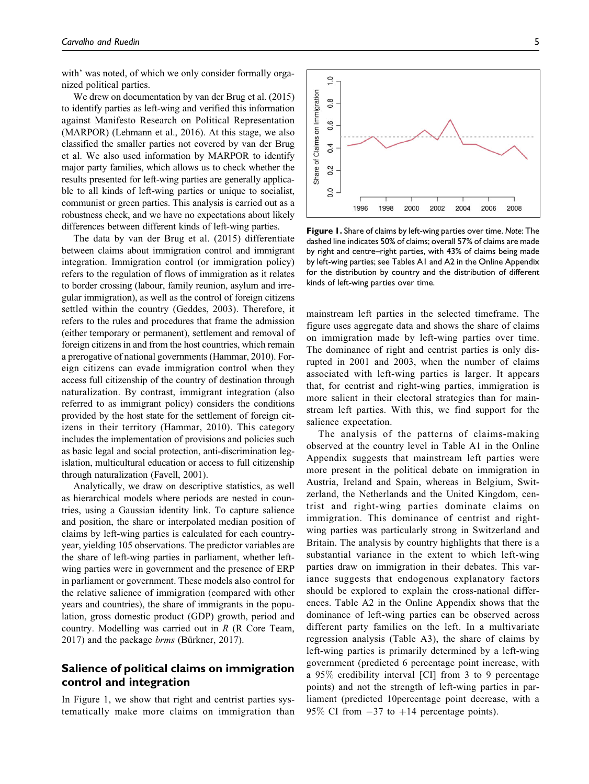with' was noted, of which we only consider formally organized political parties.

We drew on documentation by van der Brug et al. (2015) to identify parties as left-wing and verified this information against Manifesto Research on Political Representation (MARPOR) (Lehmann et al., 2016). At this stage, we also classified the smaller parties not covered by van der Brug et al. We also used information by MARPOR to identify major party families, which allows us to check whether the results presented for left-wing parties are generally applicable to all kinds of left-wing parties or unique to socialist, communist or green parties. This analysis is carried out as a robustness check, and we have no expectations about likely differences between different kinds of left-wing parties.

The data by van der Brug et al. (2015) differentiate between claims about immigration control and immigrant integration. Immigration control (or immigration policy) refers to the regulation of flows of immigration as it relates to border crossing (labour, family reunion, asylum and irregular immigration), as well as the control of foreign citizens settled within the country (Geddes, 2003). Therefore, it refers to the rules and procedures that frame the admission (either temporary or permanent), settlement and removal of foreign citizens in and from the host countries, which remain a prerogative of national governments (Hammar, 2010). Foreign citizens can evade immigration control when they access full citizenship of the country of destination through naturalization. By contrast, immigrant integration (also referred to as immigrant policy) considers the conditions provided by the host state for the settlement of foreign citizens in their territory (Hammar, 2010). This category includes the implementation of provisions and policies such as basic legal and social protection, anti-discrimination legislation, multicultural education or access to full citizenship through naturalization (Favell, 2001).

Analytically, we draw on descriptive statistics, as well as hierarchical models where periods are nested in countries, using a Gaussian identity link. To capture salience and position, the share or interpolated median position of claims by left-wing parties is calculated for each countryyear, yielding 105 observations. The predictor variables are the share of left-wing parties in parliament, whether leftwing parties were in government and the presence of ERP in parliament or government. These models also control for the relative salience of immigration (compared with other years and countries), the share of immigrants in the population, gross domestic product (GDP) growth, period and country. Modelling was carried out in R (R Core Team, 2017) and the package *brms* (Bürkner, 2017).

## Salience of political claims on immigration control and integration

In Figure 1, we show that right and centrist parties systematically make more claims on immigration than



Figure 1. Share of claims by left-wing parties over time. Note: The dashed line indicates 50% of claims; overall 57% of claims are made by right and centre–right parties, with 43% of claims being made by left-wing parties; see Tables A1 and A2 in the Online Appendix for the distribution by country and the distribution of different kinds of left-wing parties over time.

mainstream left parties in the selected timeframe. The figure uses aggregate data and shows the share of claims on immigration made by left-wing parties over time. The dominance of right and centrist parties is only disrupted in 2001 and 2003, when the number of claims associated with left-wing parties is larger. It appears that, for centrist and right-wing parties, immigration is more salient in their electoral strategies than for mainstream left parties. With this, we find support for the salience expectation.

The analysis of the patterns of claims-making observed at the country level in Table A1 in the Online Appendix suggests that mainstream left parties were more present in the political debate on immigration in Austria, Ireland and Spain, whereas in Belgium, Switzerland, the Netherlands and the United Kingdom, centrist and right-wing parties dominate claims on immigration. This dominance of centrist and rightwing parties was particularly strong in Switzerland and Britain. The analysis by country highlights that there is a substantial variance in the extent to which left-wing parties draw on immigration in their debates. This variance suggests that endogenous explanatory factors should be explored to explain the cross-national differences. Table A2 in the Online Appendix shows that the dominance of left-wing parties can be observed across different party families on the left. In a multivariate regression analysis (Table A3), the share of claims by left-wing parties is primarily determined by a left-wing government (predicted 6 percentage point increase, with a 95% credibility interval [CI] from 3 to 9 percentage points) and not the strength of left-wing parties in parliament (predicted 10percentage point decrease, with a 95% CI from  $-37$  to  $+14$  percentage points).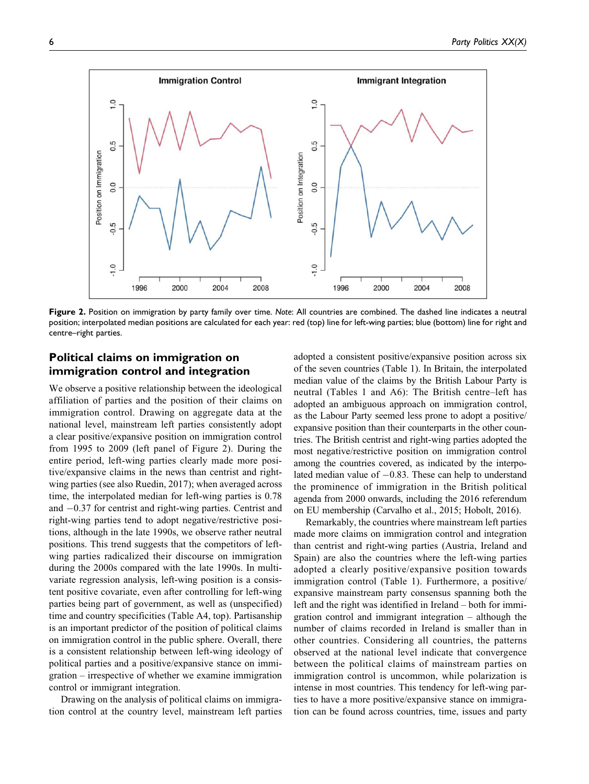

Figure 2. Position on immigration by party family over time. Note: All countries are combined. The dashed line indicates a neutral position; interpolated median positions are calculated for each year: red (top) line for left-wing parties; blue (bottom) line for right and centre–right parties.

## Political claims on immigration on immigration control and integration

We observe a positive relationship between the ideological affiliation of parties and the position of their claims on immigration control. Drawing on aggregate data at the national level, mainstream left parties consistently adopt a clear positive/expansive position on immigration control from 1995 to 2009 (left panel of Figure 2). During the entire period, left-wing parties clearly made more positive/expansive claims in the news than centrist and rightwing parties (see also Ruedin, 2017); when averaged across time, the interpolated median for left-wing parties is 0.78 and -0.37 for centrist and right-wing parties. Centrist and right-wing parties tend to adopt negative/restrictive positions, although in the late 1990s, we observe rather neutral positions. This trend suggests that the competitors of leftwing parties radicalized their discourse on immigration during the 2000s compared with the late 1990s. In multivariate regression analysis, left-wing position is a consistent positive covariate, even after controlling for left-wing parties being part of government, as well as (unspecified) time and country specificities (Table A4, top). Partisanship is an important predictor of the position of political claims on immigration control in the public sphere. Overall, there is a consistent relationship between left-wing ideology of political parties and a positive/expansive stance on immigration – irrespective of whether we examine immigration control or immigrant integration.

Drawing on the analysis of political claims on immigration control at the country level, mainstream left parties adopted a consistent positive/expansive position across six of the seven countries (Table 1). In Britain, the interpolated median value of the claims by the British Labour Party is neutral (Tables 1 and A6): The British centre–left has adopted an ambiguous approach on immigration control, as the Labour Party seemed less prone to adopt a positive/ expansive position than their counterparts in the other countries. The British centrist and right-wing parties adopted the most negative/restrictive position on immigration control among the countries covered, as indicated by the interpolated median value of  $-0.83$ . These can help to understand the prominence of immigration in the British political agenda from 2000 onwards, including the 2016 referendum on EU membership (Carvalho et al., 2015; Hobolt, 2016).

Remarkably, the countries where mainstream left parties made more claims on immigration control and integration than centrist and right-wing parties (Austria, Ireland and Spain) are also the countries where the left-wing parties adopted a clearly positive/expansive position towards immigration control (Table 1). Furthermore, a positive/ expansive mainstream party consensus spanning both the left and the right was identified in Ireland – both for immigration control and immigrant integration – although the number of claims recorded in Ireland is smaller than in other countries. Considering all countries, the patterns observed at the national level indicate that convergence between the political claims of mainstream parties on immigration control is uncommon, while polarization is intense in most countries. This tendency for left-wing parties to have a more positive/expansive stance on immigration can be found across countries, time, issues and party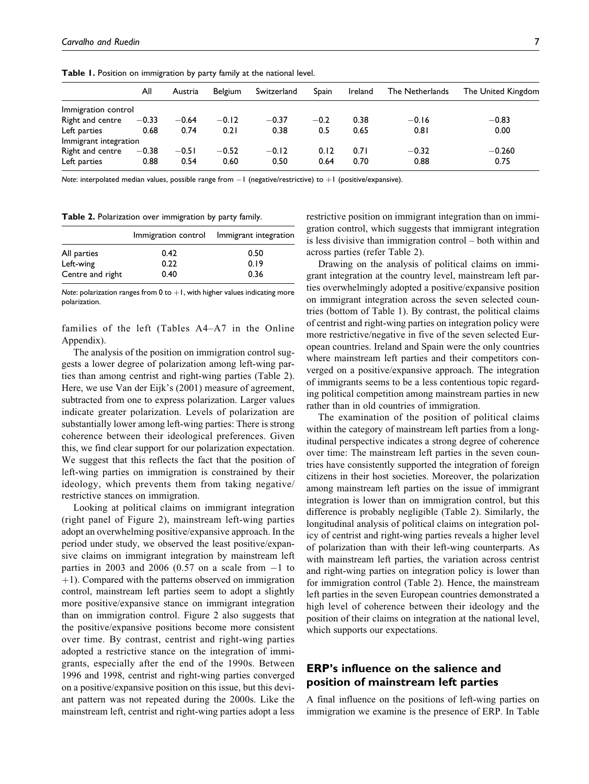|                       | All     | Austria | <b>Belgium</b> | Switzerland | Spain  | Ireland | The Netherlands | The United Kingdom |
|-----------------------|---------|---------|----------------|-------------|--------|---------|-----------------|--------------------|
| Immigration control   |         |         |                |             |        |         |                 |                    |
| Right and centre      | $-0.33$ | $-0.64$ | $-0.12$        | $-0.37$     | $-0.2$ | 0.38    | $-0.16$         | $-0.83$            |
| Left parties          | 0.68    | 0.74    | 0.21           | 0.38        | 0.5    | 0.65    | 0.81            | 0.00               |
| Immigrant integration |         |         |                |             |        |         |                 |                    |
| Right and centre      | $-0.38$ | $-0.51$ | $-0.52$        | $-0.12$     | 0.12   | 0.71    | $-0.32$         | $-0.260$           |
| Left parties          | 0.88    | 0.54    | 0.60           | 0.50        | 0.64   | 0.70    | 0.88            | 0.75               |

Table 1. Position on immigration by party family at the national level.

Note: interpolated median values, possible range from  $-1$  (negative/restrictive) to  $+1$  (positive/expansive).

Table 2. Polarization over immigration by party family.

|                  |      | Immigration control Immigrant integration |
|------------------|------|-------------------------------------------|
| All parties      | 0.42 | 0.50                                      |
| Left-wing        | 0.22 | 0.19                                      |
| Centre and right | 0.40 | 0.36                                      |

Note: polarization ranges from 0 to  $+1$ , with higher values indicating more polarization.

families of the left (Tables A4–A7 in the Online Appendix).

The analysis of the position on immigration control suggests a lower degree of polarization among left-wing parties than among centrist and right-wing parties (Table 2). Here, we use Van der Eijk's (2001) measure of agreement, subtracted from one to express polarization. Larger values indicate greater polarization. Levels of polarization are substantially lower among left-wing parties: There is strong coherence between their ideological preferences. Given this, we find clear support for our polarization expectation. We suggest that this reflects the fact that the position of left-wing parties on immigration is constrained by their ideology, which prevents them from taking negative/ restrictive stances on immigration.

Looking at political claims on immigrant integration (right panel of Figure 2), mainstream left-wing parties adopt an overwhelming positive/expansive approach. In the period under study, we observed the least positive/expansive claims on immigrant integration by mainstream left parties in 2003 and 2006 (0.57 on a scale from  $-1$  to  $+1$ ). Compared with the patterns observed on immigration control, mainstream left parties seem to adopt a slightly more positive/expansive stance on immigrant integration than on immigration control. Figure 2 also suggests that the positive/expansive positions become more consistent over time. By contrast, centrist and right-wing parties adopted a restrictive stance on the integration of immigrants, especially after the end of the 1990s. Between 1996 and 1998, centrist and right-wing parties converged on a positive/expansive position on this issue, but this deviant pattern was not repeated during the 2000s. Like the mainstream left, centrist and right-wing parties adopt a less

restrictive position on immigrant integration than on immigration control, which suggests that immigrant integration is less divisive than immigration control – both within and across parties (refer Table 2).

Drawing on the analysis of political claims on immigrant integration at the country level, mainstream left parties overwhelmingly adopted a positive/expansive position on immigrant integration across the seven selected countries (bottom of Table 1). By contrast, the political claims of centrist and right-wing parties on integration policy were more restrictive/negative in five of the seven selected European countries. Ireland and Spain were the only countries where mainstream left parties and their competitors converged on a positive/expansive approach. The integration of immigrants seems to be a less contentious topic regarding political competition among mainstream parties in new rather than in old countries of immigration.

The examination of the position of political claims within the category of mainstream left parties from a longitudinal perspective indicates a strong degree of coherence over time: The mainstream left parties in the seven countries have consistently supported the integration of foreign citizens in their host societies. Moreover, the polarization among mainstream left parties on the issue of immigrant integration is lower than on immigration control, but this difference is probably negligible (Table 2). Similarly, the longitudinal analysis of political claims on integration policy of centrist and right-wing parties reveals a higher level of polarization than with their left-wing counterparts. As with mainstream left parties, the variation across centrist and right-wing parties on integration policy is lower than for immigration control (Table 2). Hence, the mainstream left parties in the seven European countries demonstrated a high level of coherence between their ideology and the position of their claims on integration at the national level, which supports our expectations.

## ERP's influence on the salience and position of mainstream left parties

A final influence on the positions of left-wing parties on immigration we examine is the presence of ERP. In Table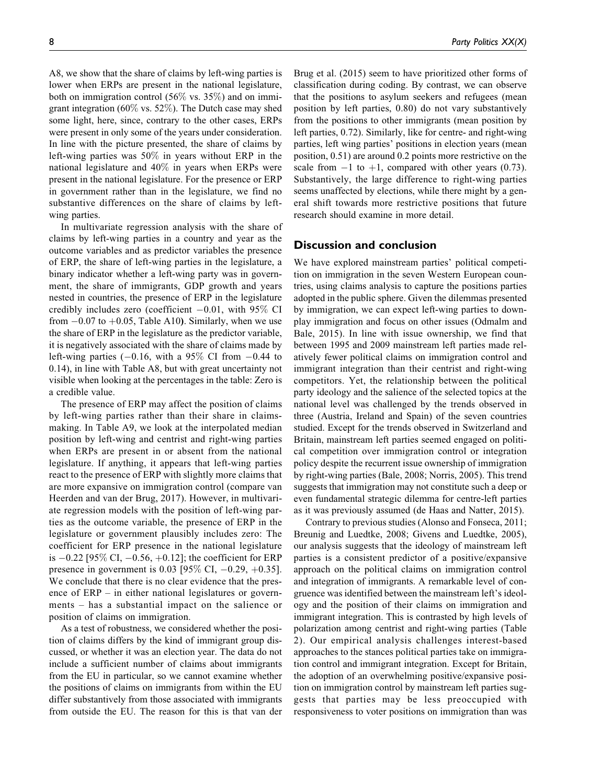A8, we show that the share of claims by left-wing parties is lower when ERPs are present in the national legislature, both on immigration control (56% vs. 35%) and on immigrant integration (60% vs. 52%). The Dutch case may shed some light, here, since, contrary to the other cases, ERPs were present in only some of the years under consideration. In line with the picture presented, the share of claims by left-wing parties was 50% in years without ERP in the national legislature and 40% in years when ERPs were present in the national legislature. For the presence or ERP in government rather than in the legislature, we find no substantive differences on the share of claims by leftwing parties.

In multivariate regression analysis with the share of claims by left-wing parties in a country and year as the outcome variables and as predictor variables the presence of ERP, the share of left-wing parties in the legislature, a binary indicator whether a left-wing party was in government, the share of immigrants, GDP growth and years nested in countries, the presence of ERP in the legislature credibly includes zero (coefficient  $-0.01$ , with  $95\%$  CI from  $-0.07$  to  $+0.05$ , Table A10). Similarly, when we use the share of ERP in the legislature as the predictor variable, it is negatively associated with the share of claims made by left-wing parties  $(-0.16, \text{ with a } 95\% \text{ CI from } -0.44 \text{ to }$ 0.14), in line with Table A8, but with great uncertainty not visible when looking at the percentages in the table: Zero is a credible value.

The presence of ERP may affect the position of claims by left-wing parties rather than their share in claimsmaking. In Table A9, we look at the interpolated median position by left-wing and centrist and right-wing parties when ERPs are present in or absent from the national legislature. If anything, it appears that left-wing parties react to the presence of ERP with slightly more claims that are more expansive on immigration control (compare van Heerden and van der Brug, 2017). However, in multivariate regression models with the position of left-wing parties as the outcome variable, the presence of ERP in the legislature or government plausibly includes zero: The coefficient for ERP presence in the national legislature is  $-0.22$  [95% CI,  $-0.56$ ,  $+0.12$ ]; the coefficient for ERP presence in government is  $0.03$  [95% CI,  $-0.29, +0.35$ ]. We conclude that there is no clear evidence that the presence of ERP – in either national legislatures or governments – has a substantial impact on the salience or position of claims on immigration.

As a test of robustness, we considered whether the position of claims differs by the kind of immigrant group discussed, or whether it was an election year. The data do not include a sufficient number of claims about immigrants from the EU in particular, so we cannot examine whether the positions of claims on immigrants from within the EU differ substantively from those associated with immigrants from outside the EU. The reason for this is that van der Brug et al. (2015) seem to have prioritized other forms of classification during coding. By contrast, we can observe that the positions to asylum seekers and refugees (mean position by left parties, 0.80) do not vary substantively from the positions to other immigrants (mean position by left parties, 0.72). Similarly, like for centre- and right-wing parties, left wing parties' positions in election years (mean position, 0.51) are around 0.2 points more restrictive on the scale from  $-1$  to  $+1$ , compared with other years (0.73). Substantively, the large difference to right-wing parties seems unaffected by elections, while there might by a general shift towards more restrictive positions that future research should examine in more detail.

## Discussion and conclusion

We have explored mainstream parties' political competition on immigration in the seven Western European countries, using claims analysis to capture the positions parties adopted in the public sphere. Given the dilemmas presented by immigration, we can expect left-wing parties to downplay immigration and focus on other issues (Odmalm and Bale, 2015). In line with issue ownership, we find that between 1995 and 2009 mainstream left parties made relatively fewer political claims on immigration control and immigrant integration than their centrist and right-wing competitors. Yet, the relationship between the political party ideology and the salience of the selected topics at the national level was challenged by the trends observed in three (Austria, Ireland and Spain) of the seven countries studied. Except for the trends observed in Switzerland and Britain, mainstream left parties seemed engaged on political competition over immigration control or integration policy despite the recurrent issue ownership of immigration by right-wing parties (Bale, 2008; Norris, 2005). This trend suggests that immigration may not constitute such a deep or even fundamental strategic dilemma for centre-left parties as it was previously assumed (de Haas and Natter, 2015).

Contrary to previous studies (Alonso and Fonseca, 2011; Breunig and Luedtke, 2008; Givens and Luedtke, 2005), our analysis suggests that the ideology of mainstream left parties is a consistent predictor of a positive/expansive approach on the political claims on immigration control and integration of immigrants. A remarkable level of congruence was identified between the mainstream left's ideology and the position of their claims on immigration and immigrant integration. This is contrasted by high levels of polarization among centrist and right-wing parties (Table 2). Our empirical analysis challenges interest-based approaches to the stances political parties take on immigration control and immigrant integration. Except for Britain, the adoption of an overwhelming positive/expansive position on immigration control by mainstream left parties suggests that parties may be less preoccupied with responsiveness to voter positions on immigration than was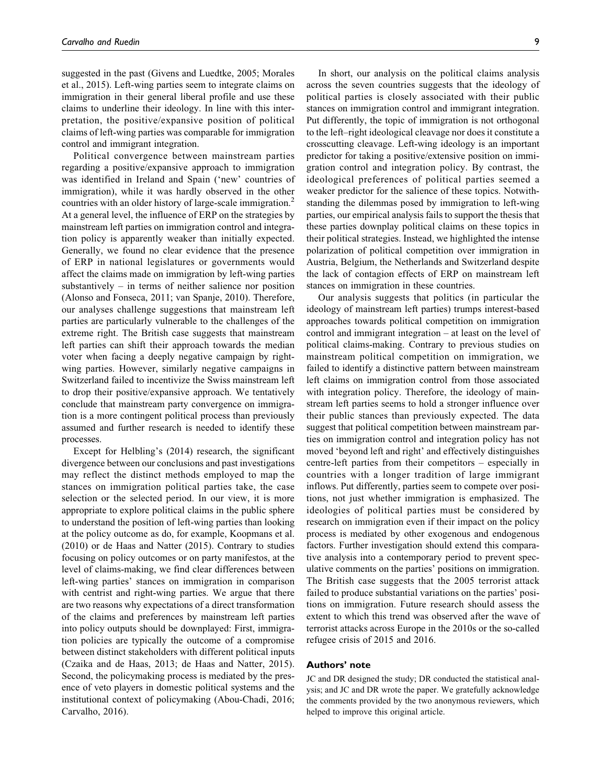suggested in the past (Givens and Luedtke, 2005; Morales et al., 2015). Left-wing parties seem to integrate claims on immigration in their general liberal profile and use these claims to underline their ideology. In line with this interpretation, the positive/expansive position of political claims of left-wing parties was comparable for immigration control and immigrant integration.

Political convergence between mainstream parties regarding a positive/expansive approach to immigration was identified in Ireland and Spain ('new' countries of immigration), while it was hardly observed in the other countries with an older history of large-scale immigration.<sup>2</sup> At a general level, the influence of ERP on the strategies by mainstream left parties on immigration control and integration policy is apparently weaker than initially expected. Generally, we found no clear evidence that the presence of ERP in national legislatures or governments would affect the claims made on immigration by left-wing parties substantively – in terms of neither salience nor position (Alonso and Fonseca, 2011; van Spanje, 2010). Therefore, our analyses challenge suggestions that mainstream left parties are particularly vulnerable to the challenges of the extreme right. The British case suggests that mainstream left parties can shift their approach towards the median voter when facing a deeply negative campaign by rightwing parties. However, similarly negative campaigns in Switzerland failed to incentivize the Swiss mainstream left to drop their positive/expansive approach. We tentatively conclude that mainstream party convergence on immigration is a more contingent political process than previously assumed and further research is needed to identify these processes.

Except for Helbling's (2014) research, the significant divergence between our conclusions and past investigations may reflect the distinct methods employed to map the stances on immigration political parties take, the case selection or the selected period. In our view, it is more appropriate to explore political claims in the public sphere to understand the position of left-wing parties than looking at the policy outcome as do, for example, Koopmans et al. (2010) or de Haas and Natter (2015). Contrary to studies focusing on policy outcomes or on party manifestos, at the level of claims-making, we find clear differences between left-wing parties' stances on immigration in comparison with centrist and right-wing parties. We argue that there are two reasons why expectations of a direct transformation of the claims and preferences by mainstream left parties into policy outputs should be downplayed: First, immigration policies are typically the outcome of a compromise between distinct stakeholders with different political inputs (Czaika and de Haas, 2013; de Haas and Natter, 2015). Second, the policymaking process is mediated by the presence of veto players in domestic political systems and the institutional context of policymaking (Abou-Chadi, 2016; Carvalho, 2016).

In short, our analysis on the political claims analysis across the seven countries suggests that the ideology of political parties is closely associated with their public stances on immigration control and immigrant integration. Put differently, the topic of immigration is not orthogonal to the left–right ideological cleavage nor does it constitute a crosscutting cleavage. Left-wing ideology is an important predictor for taking a positive/extensive position on immigration control and integration policy. By contrast, the ideological preferences of political parties seemed a weaker predictor for the salience of these topics. Notwithstanding the dilemmas posed by immigration to left-wing parties, our empirical analysis fails to support the thesis that these parties downplay political claims on these topics in their political strategies. Instead, we highlighted the intense polarization of political competition over immigration in Austria, Belgium, the Netherlands and Switzerland despite the lack of contagion effects of ERP on mainstream left stances on immigration in these countries.

Our analysis suggests that politics (in particular the ideology of mainstream left parties) trumps interest-based approaches towards political competition on immigration control and immigrant integration – at least on the level of political claims-making. Contrary to previous studies on mainstream political competition on immigration, we failed to identify a distinctive pattern between mainstream left claims on immigration control from those associated with integration policy. Therefore, the ideology of mainstream left parties seems to hold a stronger influence over their public stances than previously expected. The data suggest that political competition between mainstream parties on immigration control and integration policy has not moved 'beyond left and right' and effectively distinguishes centre-left parties from their competitors – especially in countries with a longer tradition of large immigrant inflows. Put differently, parties seem to compete over positions, not just whether immigration is emphasized. The ideologies of political parties must be considered by research on immigration even if their impact on the policy process is mediated by other exogenous and endogenous factors. Further investigation should extend this comparative analysis into a contemporary period to prevent speculative comments on the parties' positions on immigration. The British case suggests that the 2005 terrorist attack failed to produce substantial variations on the parties' positions on immigration. Future research should assess the extent to which this trend was observed after the wave of terrorist attacks across Europe in the 2010s or the so-called refugee crisis of 2015 and 2016.

## Authors' note

JC and DR designed the study; DR conducted the statistical analysis; and JC and DR wrote the paper. We gratefully acknowledge the comments provided by the two anonymous reviewers, which helped to improve this original article.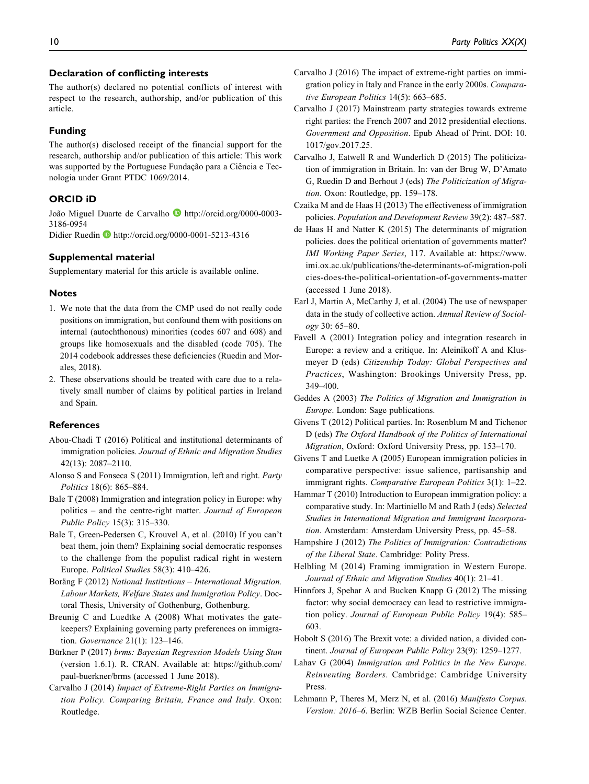## Declaration of conflicting interests

The author(s) declared no potential conflicts of interest with respect to the research, authorship, and/or publication of this article.

## Funding

The author(s) disclosed receipt of the financial support for the research, authorship and/or publication of this article: This work was supported by the Portuguese Fundação para a Ciência e Tecnologia under Grant PTDC 1069/2014.

## ORCID iD

João Miguel Duarte de Carvalho **[http://orcid.org/0000-0003-](http://orcid.org/0000-0003-3186-0954)** [3186-0954](http://orcid.org/0000-0003-3186-0954)

Didier Ruedin D<http://orcid.org/0000-0001-5213-4316>

## Supplemental material

Supplementary material for this article is available online.

### Notes

- 1. We note that the data from the CMP used do not really code positions on immigration, but confound them with positions on internal (autochthonous) minorities (codes 607 and 608) and groups like homosexuals and the disabled (code 705). The 2014 codebook addresses these deficiencies (Ruedin and Morales, 2018).
- 2. These observations should be treated with care due to a relatively small number of claims by political parties in Ireland and Spain.

### **References**

Abou-Chadi T (2016) Political and institutional determinants of immigration policies. Journal of Ethnic and Migration Studies 42(13): 2087–2110.

- Alonso S and Fonseca S (2011) Immigration, left and right. Party Politics 18(6): 865–884.
- Bale T (2008) Immigration and integration policy in Europe: why politics – and the centre-right matter. Journal of European Public Policy 15(3): 315–330.
- Bale T, Green-Pedersen C, Krouvel A, et al. (2010) If you can't beat them, join them? Explaining social democratic responses to the challenge from the populist radical right in western Europe. Political Studies 58(3): 410–426.
- Boräng F (2012) National Institutions International Migration. Labour Markets, Welfare States and Immigration Policy. Doctoral Thesis, University of Gothenburg, Gothenburg.
- Breunig C and Luedtke A (2008) What motivates the gatekeepers? Explaining governing party preferences on immigration. Governance 21(1): 123–146.
- Bürkner P (2017) brms: Bayesian Regression Models Using Stan (version 1.6.1). R. CRAN. Available at: [https://github.com/](https://github.com/paul-buerkner/brms) [paul-buerkner/brms](https://github.com/paul-buerkner/brms) (accessed 1 June 2018).
- Carvalho J (2014) Impact of Extreme-Right Parties on Immigration Policy. Comparing Britain, France and Italy. Oxon: Routledge.
- Carvalho J (2016) The impact of extreme-right parties on immigration policy in Italy and France in the early 2000s. Comparative European Politics 14(5): 663–685.
- Carvalho J (2017) Mainstream party strategies towards extreme right parties: the French 2007 and 2012 presidential elections. Government and Opposition. Epub Ahead of Print. DOI: 10. 1017/gov.2017.25.
- Carvalho J, Eatwell R and Wunderlich D (2015) The politicization of immigration in Britain. In: van der Brug W, D'Amato G, Ruedin D and Berhout J (eds) The Politicization of Migration. Oxon: Routledge, pp. 159–178.
- Czaika M and de Haas H (2013) The effectiveness of immigration policies. Population and Development Review 39(2): 487–587.
- de Haas H and Natter K (2015) The determinants of migration policies. does the political orientation of governments matter? IMI Working Paper Series, 117. Available at: [https://www.](https://www.imi.ox.ac.uk/publications/the-determinants-of-migration-policies-does-the-political-orientation-of-governments-matter) [imi.ox.ac.uk/publications/the-determinants-of-migration-poli](https://www.imi.ox.ac.uk/publications/the-determinants-of-migration-policies-does-the-political-orientation-of-governments-matter) [cies-does-the-political-orientation-of-governments-matter](https://www.imi.ox.ac.uk/publications/the-determinants-of-migration-policies-does-the-political-orientation-of-governments-matter) (accessed 1 June 2018).
- Earl J, Martin A, McCarthy J, et al. (2004) The use of newspaper data in the study of collective action. Annual Review of Sociology 30: 65–80.
- Favell A (2001) Integration policy and integration research in Europe: a review and a critique. In: Aleinikoff A and Klusmeyer D (eds) Citizenship Today: Global Perspectives and Practices, Washington: Brookings University Press, pp. 349–400.
- Geddes A (2003) The Politics of Migration and Immigration in Europe. London: Sage publications.
- Givens T (2012) Political parties. In: Rosenblum M and Tichenor D (eds) The Oxford Handbook of the Politics of International Migration, Oxford: Oxford University Press, pp. 153–170.
- Givens T and Luetke A (2005) European immigration policies in comparative perspective: issue salience, partisanship and immigrant rights. Comparative European Politics 3(1): 1–22.
- Hammar T (2010) Introduction to European immigration policy: a comparative study. In: Martiniello M and Rath J (eds) Selected Studies in International Migration and Immigrant Incorporation. Amsterdam: Amsterdam University Press, pp. 45–58.
- Hampshire J (2012) The Politics of Immigration: Contradictions of the Liberal State. Cambridge: Polity Press.
- Helbling M (2014) Framing immigration in Western Europe. Journal of Ethnic and Migration Studies 40(1): 21–41.
- Hinnfors J, Spehar A and Bucken Knapp G (2012) The missing factor: why social democracy can lead to restrictive immigration policy. Journal of European Public Policy 19(4): 585– 603.
- Hobolt S (2016) The Brexit vote: a divided nation, a divided continent. Journal of European Public Policy 23(9): 1259–1277.
- Lahav G (2004) Immigration and Politics in the New Europe. Reinventing Borders. Cambridge: Cambridge University Press.
- Lehmann P, Theres M, Merz N, et al. (2016) Manifesto Corpus. Version: 2016–6. Berlin: WZB Berlin Social Science Center.